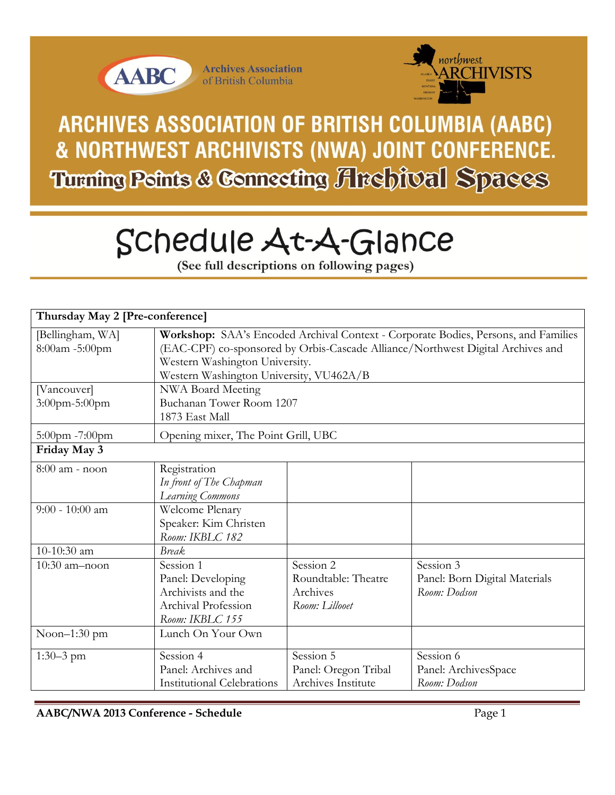



ARCHIVES ASSOCIATION OF BRITISH COLUMBIA (AABC) & NORTHWEST ARCHIVISTS (NWA) JOINT CONFERENCE. **Turning Peints & Connecting Archival Spaces** 

# Schedule At-A-Glance

(See full descriptions on following pages)

| Thursday May 2 [Pre-conference]    |                                                                                                                                                                                                                                                    |                                                                |                                                            |  |
|------------------------------------|----------------------------------------------------------------------------------------------------------------------------------------------------------------------------------------------------------------------------------------------------|----------------------------------------------------------------|------------------------------------------------------------|--|
| [Bellingham, WA]<br>8:00am -5:00pm | Workshop: SAA's Encoded Archival Context - Corporate Bodies, Persons, and Families<br>(EAC-CPF) co-sponsored by Orbis-Cascade Alliance/Northwest Digital Archives and<br>Western Washington University.<br>Western Washington University, VU462A/B |                                                                |                                                            |  |
| [Vancouver]<br>3:00pm-5:00pm       | NWA Board Meeting<br>Buchanan Tower Room 1207<br>1873 East Mall                                                                                                                                                                                    |                                                                |                                                            |  |
| 5:00pm -7:00pm                     | Opening mixer, The Point Grill, UBC                                                                                                                                                                                                                |                                                                |                                                            |  |
| Friday May 3                       |                                                                                                                                                                                                                                                    |                                                                |                                                            |  |
| 8:00 am - noon                     | Registration<br>In front of The Chapman<br>Learning Commons                                                                                                                                                                                        |                                                                |                                                            |  |
| $9:00 - 10:00$ am                  | Welcome Plenary<br>Speaker: Kim Christen<br>Room: IKBLC 182                                                                                                                                                                                        |                                                                |                                                            |  |
| 10-10:30 am                        | <b>Break</b>                                                                                                                                                                                                                                       |                                                                |                                                            |  |
| 10:30 am-noon                      | Session 1<br>Panel: Developing<br>Archivists and the<br>Archival Profession<br>Room: IKBLC 155                                                                                                                                                     | Session 2<br>Roundtable: Theatre<br>Archives<br>Room: Lillooet | Session 3<br>Panel: Born Digital Materials<br>Room: Dodson |  |
| Noon $-1:30$ pm                    | Lunch On Your Own                                                                                                                                                                                                                                  |                                                                |                                                            |  |
| $1:30-3$ pm                        | Session 4<br>Panel: Archives and<br><b>Institutional Celebrations</b>                                                                                                                                                                              | Session 5<br>Panel: Oregon Tribal<br>Archives Institute        | Session 6<br>Panel: ArchivesSpace<br>Room: Dodson          |  |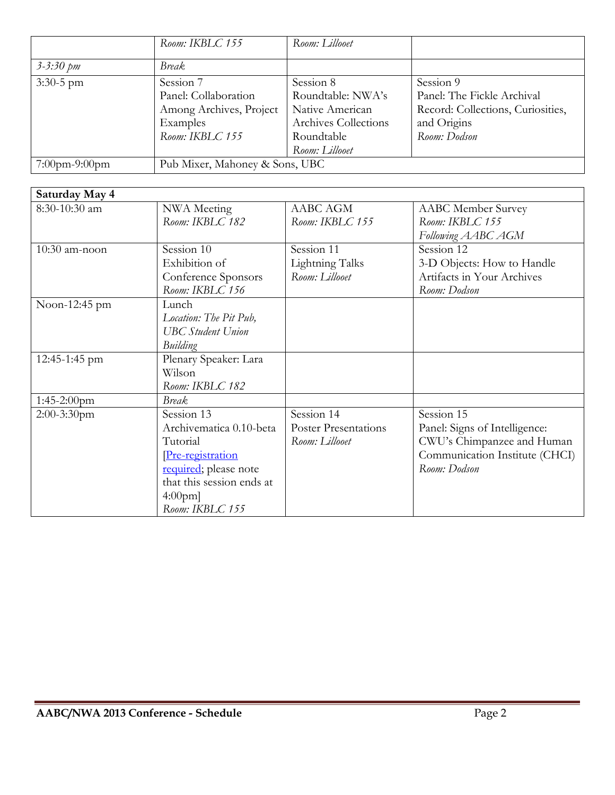|                         | Room: IKBLC 155                                                                             | Room: Lillooet                                                                                            |                                                                                                             |
|-------------------------|---------------------------------------------------------------------------------------------|-----------------------------------------------------------------------------------------------------------|-------------------------------------------------------------------------------------------------------------|
| $3 - 3:30 \, \text{pm}$ | <i>Break</i>                                                                                |                                                                                                           |                                                                                                             |
| $3:30-5$ pm             | Session 7<br>Panel: Collaboration<br>Among Archives, Project<br>Examples<br>Room: IKBLC 155 | Session 8<br>Roundtable: NWA's<br>Native American<br>Archives Collections<br>Roundtable<br>Room: Lillooet | Session 9<br>Panel: The Fickle Archival<br>Record: Collections, Curiosities,<br>and Origins<br>Room: Dodson |
| $7:00$ pm-9:00pm        | Pub Mixer, Mahoney & Sons, UBC                                                              |                                                                                                           |                                                                                                             |

| Saturday May 4  |                                                                                                                                                              |                                                             |                                                                                                                             |
|-----------------|--------------------------------------------------------------------------------------------------------------------------------------------------------------|-------------------------------------------------------------|-----------------------------------------------------------------------------------------------------------------------------|
| 8:30-10:30 am   | NWA Meeting<br>Room: IKBLC 182                                                                                                                               | AABC AGM<br>Room: IKBLC 155                                 | <b>AABC</b> Member Survey<br>Room: IKBLC 155<br>Following AABC AGM                                                          |
| $10:30$ am-noon | Session 10<br>Exhibition of<br>Conference Sponsors<br>Room: IKBLC 156                                                                                        | Session 11<br>Lightning Talks<br>Room: Lillooet             | Session 12<br>3-D Objects: How to Handle<br>Artifacts in Your Archives<br>Room: Dodson                                      |
| Noon-12:45 pm   | Lunch<br>Location: The Pit Pub,<br><b>UBC</b> Student Union<br>Building                                                                                      |                                                             |                                                                                                                             |
| 12:45-1:45 pm   | Plenary Speaker: Lara<br>Wilson<br>Room: IKBLC 182                                                                                                           |                                                             |                                                                                                                             |
| $1:45-2:00$ pm  | <b>Break</b>                                                                                                                                                 |                                                             |                                                                                                                             |
| $2:00-3:30$ pm  | Session 13<br>Archivematica 0.10-beta<br>Tutorial<br>Pre-registration<br>required; please note<br>that this session ends at<br>$4:00$ pm]<br>Room: IKBLC 155 | Session 14<br><b>Poster Presentations</b><br>Room: Lillooet | Session 15<br>Panel: Signs of Intelligence:<br>CWU's Chimpanzee and Human<br>Communication Institute (CHCI)<br>Room: Dodson |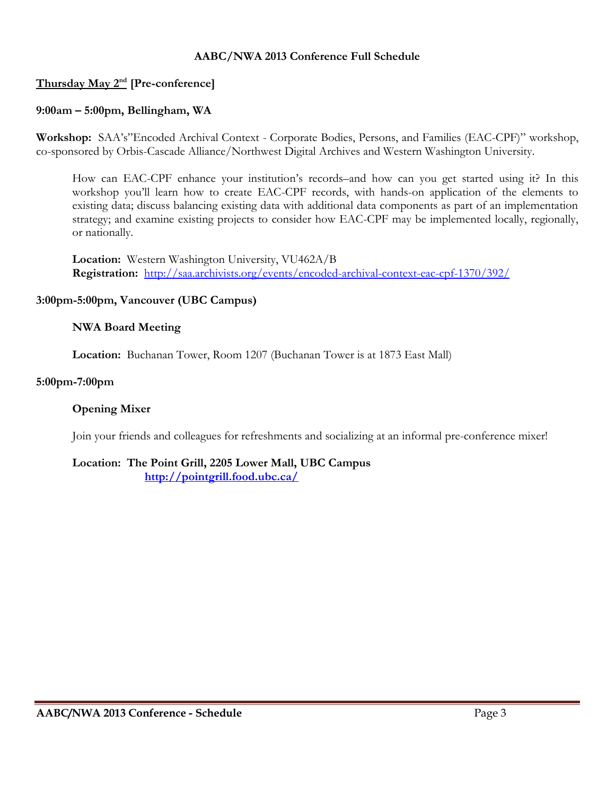#### **AABC/NWA 2013 Conference Full Schedule**

## **Thursday May 2nd [Pre-conference]**

### **9:00am – 5:00pm, Bellingham, WA**

**Workshop:** SAA's"Encoded Archival Context - Corporate Bodies, Persons, and Families (EAC-CPF)" workshop, co-sponsored by Orbis-Cascade Alliance/Northwest Digital Archives and Western Washington University.

How can EAC-CPF enhance your institution's records–and how can you get started using it? In this workshop you'll learn how to create EAC-CPF records, with hands-on application of the elements to existing data; discuss balancing existing data with additional data components as part of an implementation strategy; and examine existing projects to consider how EAC-CPF may be implemented locally, regionally, or nationally.

**Location:** Western Washington University, VU462A/B **Registration:** <http://saa.archivists.org/events/encoded-archival-context-eac-cpf-1370/392/>

#### **3:00pm-5:00pm, Vancouver (UBC Campus)**

#### **NWA Board Meeting**

**Location:** Buchanan Tower, Room 1207 (Buchanan Tower is at 1873 East Mall)

#### **5:00pm-7:00pm**

#### **Opening Mixer**

Join your friends and colleagues for refreshments and socializing at an informal pre-conference mixer!

#### **Location: The Point Grill, 2205 Lower Mall, UBC Campus <http://pointgrill.food.ubc.ca/>**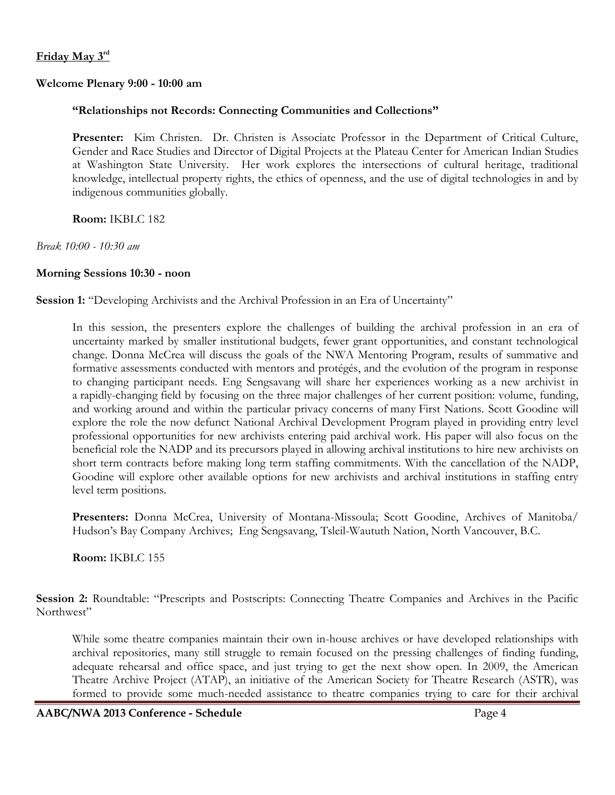#### **Friday May 3rd**

#### **Welcome Plenary 9:00 - 10:00 am**

#### **"Relationships not Records: Connecting Communities and Collections"**

**Presenter:** Kim Christen. Dr. Christen is Associate Professor in the Department of Critical Culture, Gender and Race Studies and Director of Digital Projects at the Plateau Center for American Indian Studies at Washington State University. Her work explores the intersections of cultural heritage, traditional knowledge, intellectual property rights, the ethics of openness, and the use of digital technologies in and by indigenous communities globally.

**Room:** IKBLC 182

*Break 10:00 - 10:30 am*

#### **Morning Sessions 10:30 - noon**

Session 1: "Developing Archivists and the Archival Profession in an Era of Uncertainty"

In this session, the presenters explore the challenges of building the archival profession in an era of uncertainty marked by smaller institutional budgets, fewer grant opportunities, and constant technological change. Donna McCrea will discuss the goals of the NWA Mentoring Program, results of summative and formative assessments conducted with mentors and protégés, and the evolution of the program in response to changing participant needs. Eng Sengsavang will share her experiences working as a new archivist in a rapidly-changing field by focusing on the three major challenges of her current position: volume, funding, and working around and within the particular privacy concerns of many First Nations. Scott Goodine will explore the role the now defunct National Archival Development Program played in providing entry level professional opportunities for new archivists entering paid archival work. His paper will also focus on the beneficial role the NADP and its precursors played in allowing archival institutions to hire new archivists on short term contracts before making long term staffing commitments. With the cancellation of the NADP, Goodine will explore other available options for new archivists and archival institutions in staffing entry level term positions.

**Presenters:** Donna McCrea, University of Montana-Missoula; Scott Goodine, Archives of Manitoba/ Hudson's Bay Company Archives; Eng Sengsavang, Tsleil-Waututh Nation, North Vancouver, B.C.

**Room:** IKBLC 155

**Session 2:** Roundtable: "Prescripts and Postscripts: Connecting Theatre Companies and Archives in the Pacific Northwest"

While some theatre companies maintain their own in-house archives or have developed relationships with archival repositories, many still struggle to remain focused on the pressing challenges of finding funding, adequate rehearsal and office space, and just trying to get the next show open. In 2009, the American Theatre Archive Project (ATAP), an initiative of the American Society for Theatre Research (ASTR), was formed to provide some much-needed assistance to theatre companies trying to care for their archival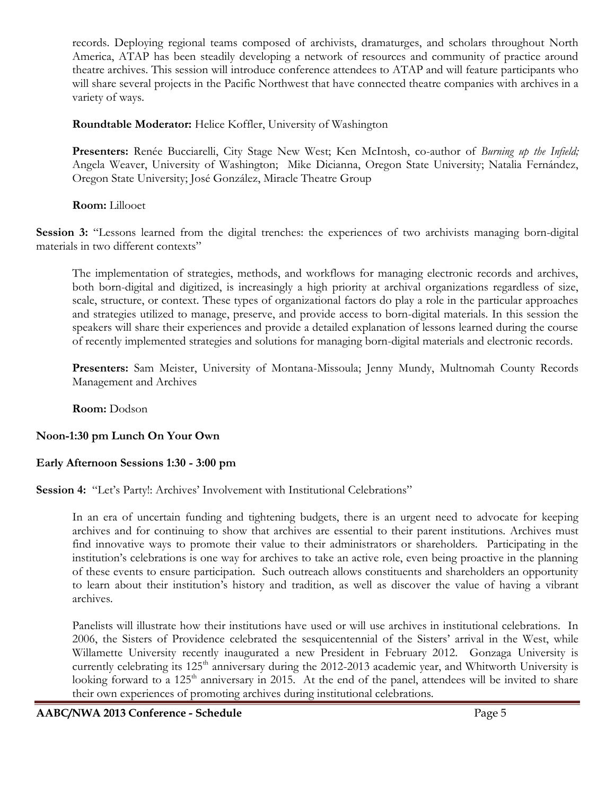records. Deploying regional teams composed of archivists, dramaturges, and scholars throughout North America, ATAP has been steadily developing a network of resources and community of practice around theatre archives. This session will introduce conference attendees to ATAP and will feature participants who will share several projects in the Pacific Northwest that have connected theatre companies with archives in a variety of ways.

**Roundtable Moderator:** Helice Koffler, University of Washington

**Presenters:** Renée Bucciarelli, City Stage New West; Ken McIntosh, co-author of *Burning up the Infield;*  Angela Weaver, University of Washington; Mike Dicianna, Oregon State University; Natalia Fernández, Oregon State University; José González, Miracle Theatre Group

**Room:** Lillooet

**Session 3:** "Lessons learned from the digital trenches: the experiences of two archivists managing born-digital materials in two different contexts"

The implementation of strategies, methods, and workflows for managing electronic records and archives, both born-digital and digitized, is increasingly a high priority at archival organizations regardless of size, scale, structure, or context. These types of organizational factors do play a role in the particular approaches and strategies utilized to manage, preserve, and provide access to born-digital materials. In this session the speakers will share their experiences and provide a detailed explanation of lessons learned during the course of recently implemented strategies and solutions for managing born-digital materials and electronic records.

**Presenters:** Sam Meister, University of Montana-Missoula; Jenny Mundy, Multnomah County Records Management and Archives

**Room:** Dodson

# **Noon-1:30 pm Lunch On Your Own**

# **Early Afternoon Sessions 1:30 - 3:00 pm**

**Session 4:** "Let's Party!: Archives' Involvement with Institutional Celebrations"

In an era of uncertain funding and tightening budgets, there is an urgent need to advocate for keeping archives and for continuing to show that archives are essential to their parent institutions. Archives must find innovative ways to promote their value to their administrators or shareholders. Participating in the institution's celebrations is one way for archives to take an active role, even being proactive in the planning of these events to ensure participation. Such outreach allows constituents and shareholders an opportunity to learn about their institution's history and tradition, as well as discover the value of having a vibrant archives.

Panelists will illustrate how their institutions have used or will use archives in institutional celebrations. In 2006, the Sisters of Providence celebrated the sesquicentennial of the Sisters' arrival in the West, while Willamette University recently inaugurated a new President in February 2012. Gonzaga University is currently celebrating its 125<sup>th</sup> anniversary during the 2012-2013 academic year, and Whitworth University is looking forward to a 125<sup>th</sup> anniversary in 2015. At the end of the panel, attendees will be invited to share their own experiences of promoting archives during institutional celebrations.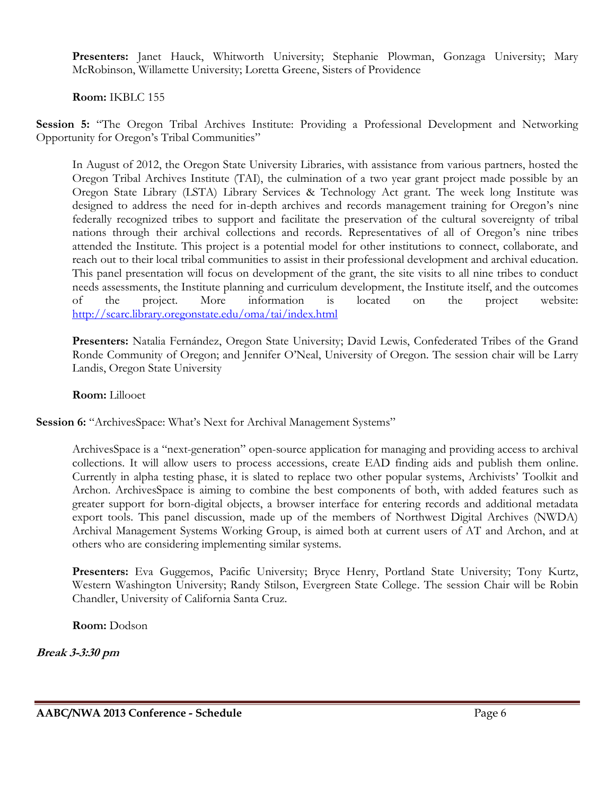**Presenters:** Janet Hauck, Whitworth University; Stephanie Plowman, Gonzaga University; Mary McRobinson, Willamette University; Loretta Greene, Sisters of Providence

#### **Room:** IKBLC 155

**Session 5:** "The Oregon Tribal Archives Institute: Providing a Professional Development and Networking Opportunity for Oregon's Tribal Communities"

In August of 2012, the Oregon State University Libraries, with assistance from various partners, hosted the Oregon Tribal Archives Institute (TAI), the culmination of a two year grant project made possible by an Oregon State Library (LSTA) Library Services & Technology Act grant. The week long Institute was designed to address the need for in-depth archives and records management training for Oregon's nine federally recognized tribes to support and facilitate the preservation of the cultural sovereignty of tribal nations through their archival collections and records. Representatives of all of Oregon's nine tribes attended the Institute. This project is a potential model for other institutions to connect, collaborate, and reach out to their local tribal communities to assist in their professional development and archival education. This panel presentation will focus on development of the grant, the site visits to all nine tribes to conduct needs assessments, the Institute planning and curriculum development, the Institute itself, and the outcomes of the project. More information is located on the project website: <http://scarc.library.oregonstate.edu/oma/tai/index.html>

**Presenters:** Natalia Fernández, Oregon State University; David Lewis, Confederated Tribes of the Grand Ronde Community of Oregon; and Jennifer O'Neal, University of Oregon. The session chair will be Larry Landis, Oregon State University

#### **Room:** Lillooet

Session 6: "ArchivesSpace: What's Next for Archival Management Systems"

ArchivesSpace is a "next-generation" open-source application for managing and providing access to archival collections. It will allow users to process accessions, create EAD finding aids and publish them online. Currently in alpha testing phase, it is slated to replace two other popular systems, Archivists' Toolkit and Archon. ArchivesSpace is aiming to combine the best components of both, with added features such as greater support for born-digital objects, a browser interface for entering records and additional metadata export tools. This panel discussion, made up of the members of Northwest Digital Archives (NWDA) Archival Management Systems Working Group, is aimed both at current users of AT and Archon, and at others who are considering implementing similar systems.

**Presenters:** Eva Guggemos, Pacific University; Bryce Henry, Portland State University; Tony Kurtz, Western Washington University; Randy Stilson, Evergreen State College. The session Chair will be Robin Chandler, University of California Santa Cruz.

**Room:** Dodson

**Break 3-3:30 pm**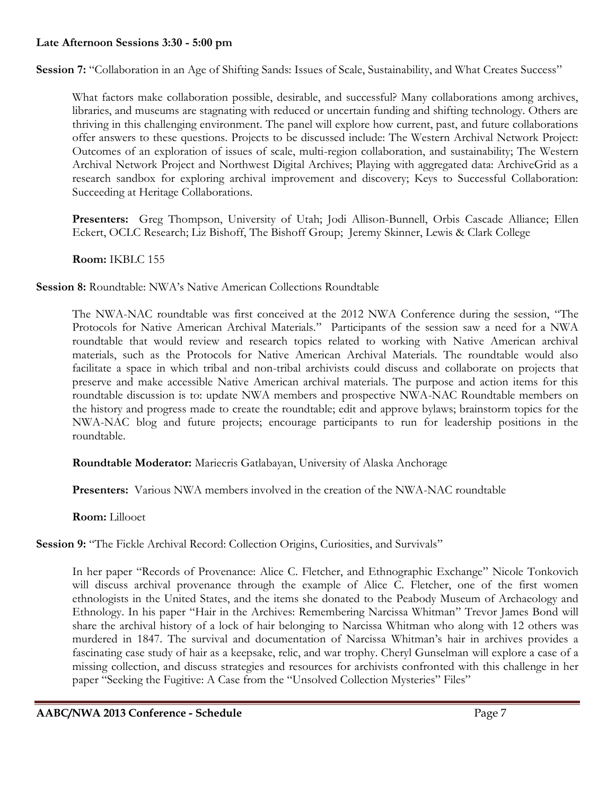#### **Late Afternoon Sessions 3:30 - 5:00 pm**

**Session 7:** "Collaboration in an Age of Shifting Sands: Issues of Scale, Sustainability, and What Creates Success"

What factors make collaboration possible, desirable, and successful? Many collaborations among archives, libraries, and museums are stagnating with reduced or uncertain funding and shifting technology. Others are thriving in this challenging environment. The panel will explore how current, past, and future collaborations offer answers to these questions. Projects to be discussed include: The Western Archival Network Project: Outcomes of an exploration of issues of scale, multi-region collaboration, and sustainability; The Western Archival Network Project and Northwest Digital Archives; Playing with aggregated data: ArchiveGrid as a research sandbox for exploring archival improvement and discovery; Keys to Successful Collaboration: Succeeding at Heritage Collaborations.

**Presenters:** Greg Thompson, University of Utah; Jodi Allison-Bunnell, Orbis Cascade Alliance; Ellen Eckert, OCLC Research; Liz Bishoff, The Bishoff Group; Jeremy Skinner, Lewis & Clark College

**Room:** IKBLC 155

**Session 8:** Roundtable: NWA's Native American Collections Roundtable

The NWA-NAC roundtable was first conceived at the 2012 NWA Conference during the session, "The Protocols for Native American Archival Materials." Participants of the session saw a need for a NWA roundtable that would review and research topics related to working with Native American archival materials, such as the Protocols for Native American Archival Materials. The roundtable would also facilitate a space in which tribal and non-tribal archivists could discuss and collaborate on projects that preserve and make accessible Native American archival materials. The purpose and action items for this roundtable discussion is to: update NWA members and prospective NWA-NAC Roundtable members on the history and progress made to create the roundtable; edit and approve bylaws; brainstorm topics for the NWA-NAC blog and future projects; encourage participants to run for leadership positions in the roundtable.

**Roundtable Moderator:** Mariecris Gatlabayan, University of Alaska Anchorage

**Presenters:** Various NWA members involved in the creation of the NWA-NAC roundtable

**Room:** Lillooet

**Session 9:** "The Fickle Archival Record: Collection Origins, Curiosities, and Survivals"

In her paper "Records of Provenance: Alice C. Fletcher, and Ethnographic Exchange" Nicole Tonkovich will discuss archival provenance through the example of Alice C. Fletcher, one of the first women ethnologists in the United States, and the items she donated to the Peabody Museum of Archaeology and Ethnology. In his paper "Hair in the Archives: Remembering Narcissa Whitman" Trevor James Bond will share the archival history of a lock of hair belonging to Narcissa Whitman who along with 12 others was murdered in 1847. The survival and documentation of Narcissa Whitman's hair in archives provides a fascinating case study of hair as a keepsake, relic, and war trophy. Cheryl Gunselman will explore a case of a missing collection, and discuss strategies and resources for archivists confronted with this challenge in her paper "Seeking the Fugitive: A Case from the "Unsolved Collection Mysteries" Files"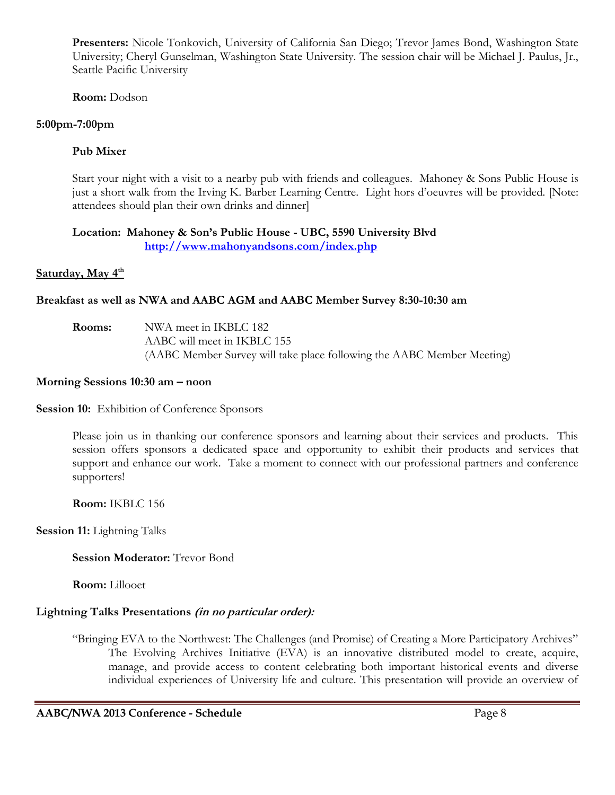**Presenters:** Nicole Tonkovich, University of California San Diego; Trevor James Bond, Washington State University; Cheryl Gunselman, Washington State University. The session chair will be Michael J. Paulus, Jr., Seattle Pacific University

**Room:** Dodson

## **5:00pm-7:00pm**

## **Pub Mixer**

Start your night with a visit to a nearby pub with friends and colleagues. Mahoney & Sons Public House is just a short walk from the Irving K. Barber Learning Centre. Light hors d'oeuvres will be provided. [Note: attendees should plan their own drinks and dinner]

#### **Location: Mahoney & Son's Public House - UBC, 5590 University Blvd <http://www.mahonyandsons.com/index.php>**

## **Saturday, May 4th**

## **Breakfast as well as NWA and AABC AGM and AABC Member Survey 8:30-10:30 am**

| Rooms: | NWA meet in IKBLC 182                                                  |
|--------|------------------------------------------------------------------------|
|        | AABC will meet in IKBLC 155                                            |
|        | (AABC Member Survey will take place following the AABC Member Meeting) |

#### **Morning Sessions 10:30 am – noon**

**Session 10:** Exhibition of Conference Sponsors

Please join us in thanking our conference sponsors and learning about their services and products. This session offers sponsors a dedicated space and opportunity to exhibit their products and services that support and enhance our work. Take a moment to connect with our professional partners and conference supporters!

**Room:** IKBLC 156

**Session 11:** Lightning Talks

**Session Moderator:** Trevor Bond

**Room:** Lillooet

## **Lightning Talks Presentations (in no particular order):**

"Bringing EVA to the Northwest: The Challenges (and Promise) of Creating a More Participatory Archives" The Evolving Archives Initiative (EVA) is an innovative distributed model to create, acquire, manage, and provide access to content celebrating both important historical events and diverse individual experiences of University life and culture. This presentation will provide an overview of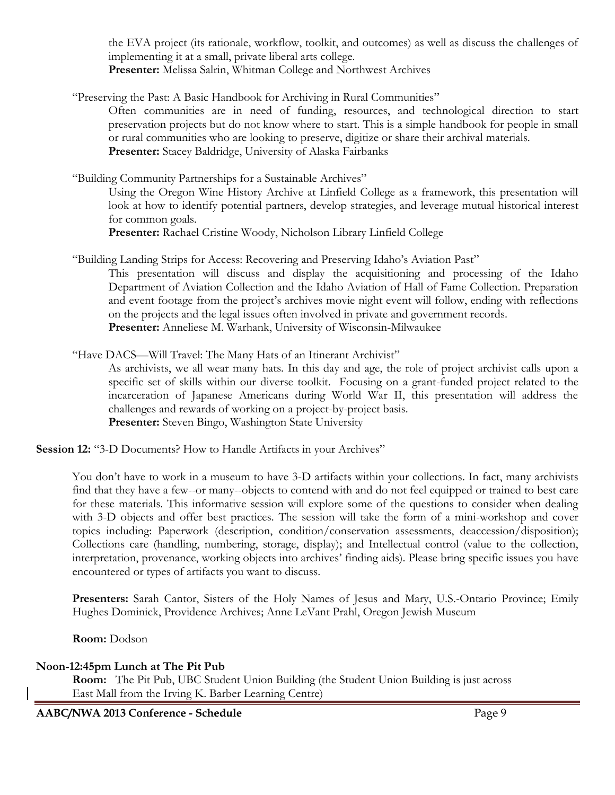the EVA project (its rationale, workflow, toolkit, and outcomes) as well as discuss the challenges of implementing it at a small, private liberal arts college. **Presenter:** Melissa Salrin, Whitman College and Northwest Archives

"Preserving the Past: A Basic Handbook for Archiving in Rural Communities"

Often communities are in need of funding, resources, and technological direction to start preservation projects but do not know where to start. This is a simple handbook for people in small or rural communities who are looking to preserve, digitize or share their archival materials. **Presenter:** Stacey Baldridge, University of Alaska Fairbanks

"Building Community Partnerships for a Sustainable Archives"

Using the Oregon Wine History Archive at Linfield College as a framework, this presentation will look at how to identify potential partners, develop strategies, and leverage mutual historical interest for common goals.

**Presenter:** Rachael Cristine Woody, Nicholson Library Linfield College

"Building Landing Strips for Access: Recovering and Preserving Idaho's Aviation Past"

This presentation will discuss and display the acquisitioning and processing of the Idaho Department of Aviation Collection and the Idaho Aviation of Hall of Fame Collection. Preparation and event footage from the project's archives movie night event will follow, ending with reflections on the projects and the legal issues often involved in private and government records. **Presenter:** Anneliese M. Warhank, University of Wisconsin-Milwaukee

"Have DACS—Will Travel: The Many Hats of an Itinerant Archivist"

As archivists, we all wear many hats. In this day and age, the role of project archivist calls upon a specific set of skills within our diverse toolkit. Focusing on a grant-funded project related to the incarceration of Japanese Americans during World War II, this presentation will address the challenges and rewards of working on a project-by-project basis. **Presenter:** Steven Bingo, Washington State University

**Session 12:** "3-D Documents? How to Handle Artifacts in your Archives"

You don't have to work in a museum to have 3-D artifacts within your collections. In fact, many archivists find that they have a few--or many--objects to contend with and do not feel equipped or trained to best care for these materials. This informative session will explore some of the questions to consider when dealing with 3-D objects and offer best practices. The session will take the form of a mini-workshop and cover topics including: Paperwork (description, condition/conservation assessments, deaccession/disposition); Collections care (handling, numbering, storage, display); and Intellectual control (value to the collection, interpretation, provenance, working objects into archives' finding aids). Please bring specific issues you have encountered or types of artifacts you want to discuss.

**Presenters:** Sarah Cantor, Sisters of the Holy Names of Jesus and Mary, U.S.-Ontario Province; Emily Hughes Dominick, Providence Archives; Anne LeVant Prahl, Oregon Jewish Museum

**Room:** Dodson

## **Noon-12:45pm Lunch at The Pit Pub**

**Room:** The Pit Pub, UBC Student Union Building (the Student Union Building is just across East Mall from the Irving K. Barber Learning Centre)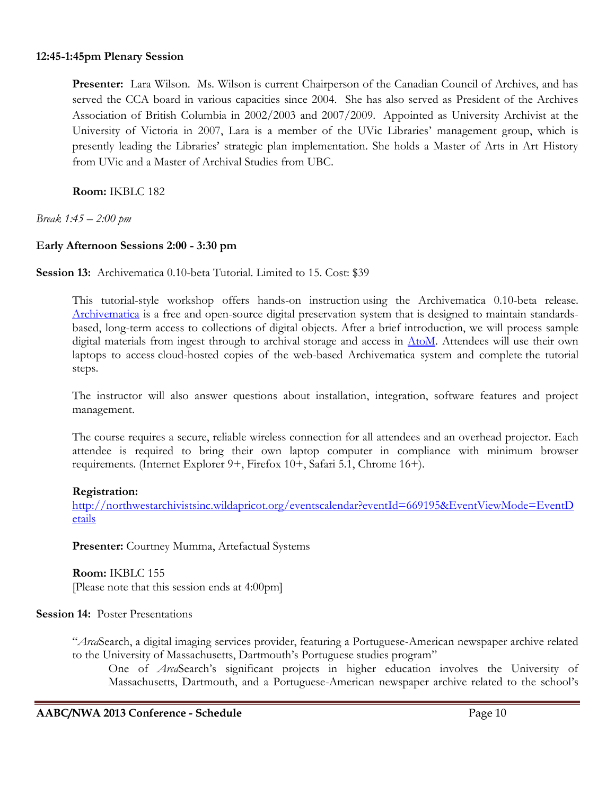#### **12:45-1:45pm Plenary Session**

**Presenter:** Lara Wilson. Ms. Wilson is current Chairperson of the Canadian Council of Archives, and has served the CCA board in various capacities since 2004. She has also served as President of the Archives Association of British Columbia in 2002/2003 and 2007/2009. Appointed as University Archivist at the University of Victoria in 2007, Lara is a member of the UVic Libraries' management group, which is presently leading the Libraries' strategic plan implementation. She holds a Master of Arts in Art History from UVic and a Master of Archival Studies from UBC.

**Room:** IKBLC 182

*Break 1:45 – 2:00 pm*

## **Early Afternoon Sessions 2:00 - 3:30 pm**

**Session 13:** Archivematica 0.10-beta Tutorial. Limited to 15. Cost: \$39

This tutorial-style workshop offers hands-on instruction using the Archivematica 0.10-beta release. [Archivematica](http://archivematica.org/) is a free and open-source digital preservation system that is designed to maintain standardsbased, long-term access to collections of digital objects. After a brief introduction, we will process sample digital materials from ingest through to archival storage and access in [AtoM.](http://ica-atom.org/docs) Attendees will use their own laptops to access cloud-hosted copies of the web-based Archivematica system and complete the tutorial steps.

The instructor will also answer questions about installation, integration, software features and project management.

The course requires a secure, reliable wireless connection for all attendees and an overhead projector. Each attendee is required to bring their own laptop computer in compliance with minimum browser requirements. (Internet Explorer 9+, Firefox 10+, Safari 5.1, Chrome 16+).

#### **Registration:**

[http://northwestarchivistsinc.wildapricot.org/eventscalendar?eventId=669195&EventViewMode=EventD](http://northwestarchivistsinc.wildapricot.org/eventscalendar?eventId=669195&EventViewMode=EventDetails) [etails](http://northwestarchivistsinc.wildapricot.org/eventscalendar?eventId=669195&EventViewMode=EventDetails)

**Presenter:** Courtney Mumma, Artefactual Systems

**Room:** IKBLC 155 [Please note that this session ends at 4:00pm]

**Session 14:** Poster Presentations

"*Arca*Search, a digital imaging services provider, featuring a Portuguese-American newspaper archive related to the University of Massachusetts, Dartmouth's Portuguese studies program"

One of *Arca*Search's significant projects in higher education involves the University of Massachusetts, Dartmouth, and a Portuguese-American newspaper archive related to the school's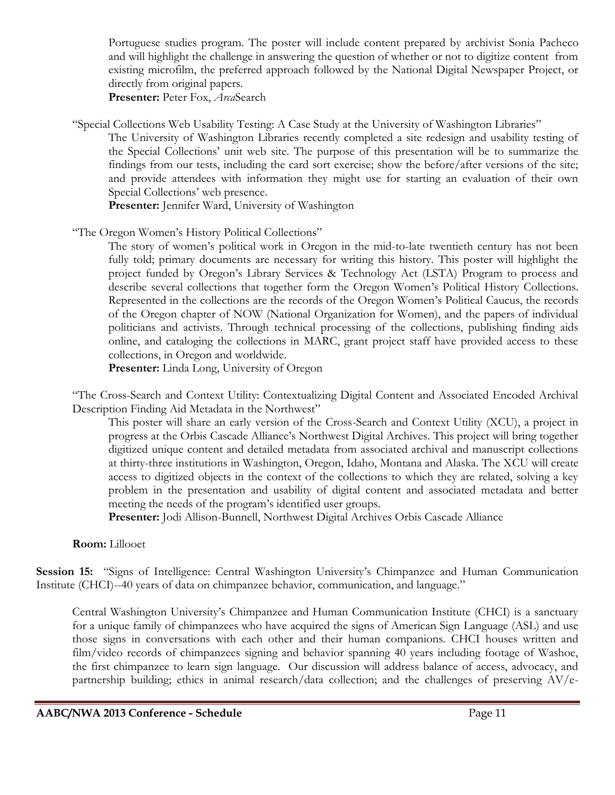Portuguese studies program. The poster will include content prepared by archivist Sonia Pacheco and will highlight the challenge in answering the question of whether or not to digitize content from existing microfilm, the preferred approach followed by the National Digital Newspaper Project, or directly from original papers.

**Presenter:** Peter Fox, *Arca*Search

"Special Collections Web Usability Testing: A Case Study at the University of Washington Libraries"

The University of Washington Libraries recently completed a site redesign and usability testing of the Special Collections' unit web site. The purpose of this presentation will be to summarize the findings from our tests, including the card sort exercise; show the before/after versions of the site; and provide attendees with information they might use for starting an evaluation of their own Special Collections' web presence.

Presenter: Jennifer Ward, University of Washington

"The Oregon Women's History Political Collections"

The story of women's political work in Oregon in the mid-to-late twentieth century has not been fully told; primary documents are necessary for writing this history. This poster will highlight the project funded by Oregon's Library Services & Technology Act (LSTA) Program to process and describe several collections that together form the Oregon Women's Political History Collections. Represented in the collections are the records of the Oregon Women's Political Caucus, the records of the Oregon chapter of NOW (National Organization for Women), and the papers of individual politicians and activists. Through technical processing of the collections, publishing finding aids online, and cataloging the collections in MARC, grant project staff have provided access to these collections, in Oregon and worldwide.

**Presenter:** Linda Long, University of Oregon

"The Cross-Search and Context Utility: Contextualizing Digital Content and Associated Encoded Archival Description Finding Aid Metadata in the Northwest"

This poster will share an early version of the Cross-Search and Context Utility (XCU), a project in progress at the Orbis Cascade Alliance's Northwest Digital Archives. This project will bring together digitized unique content and detailed metadata from associated archival and manuscript collections at thirty-three institutions in Washington, Oregon, Idaho, Montana and Alaska. The XCU will create access to digitized objects in the context of the collections to which they are related, solving a key problem in the presentation and usability of digital content and associated metadata and better meeting the needs of the program's identified user groups.

**Presenter:** Jodi Allison-Bunnell, Northwest Digital Archives Orbis Cascade Alliance

# **Room:** Lillooet

**Session 15:** "Signs of Intelligence: Central Washington University's Chimpanzee and Human Communication Institute (CHCI)--40 years of data on chimpanzee behavior, communication, and language."

Central Washington University's Chimpanzee and Human Communication Institute (CHCI) is a sanctuary for a unique family of chimpanzees who have acquired the signs of American Sign Language (ASL) and use those signs in conversations with each other and their human companions. CHCI houses written and film/video records of chimpanzees signing and behavior spanning 40 years including footage of Washoe, the first chimpanzee to learn sign language. Our discussion will address balance of access, advocacy, and partnership building; ethics in animal research/data collection; and the challenges of preserving AV/e